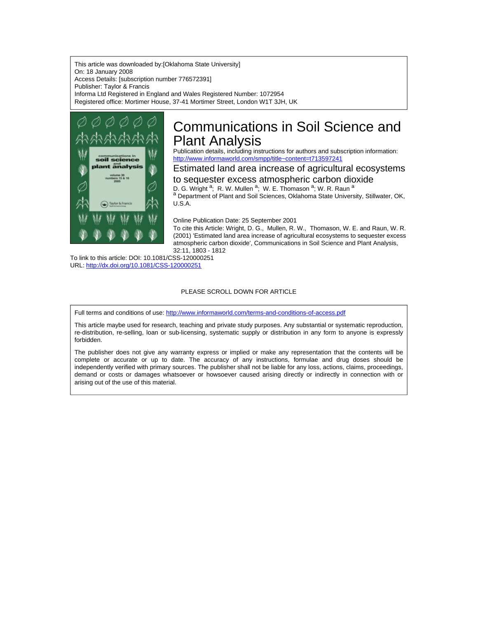This article was downloaded by:[Oklahoma State University] On: 18 January 2008 Access Details: [subscription number 776572391] Publisher: Taylor & Francis Informa Ltd Registered in England and Wales Registered Number: 1072954 Registered office: Mortimer House, 37-41 Mortimer Street, London W1T 3JH, UK



## Communications in Soil Science and Plant Analysis

Publication details, including instructions for authors and subscription information: <http://www.informaworld.com/smpp/title~content=t713597241>

### Estimated land area increase of agricultural ecosystems

to sequester excess atmospheric carbon dioxide D. G. Wright <sup>a</sup>; R. W. Mullen <sup>a</sup>; W. E. Thomason <sup>a</sup>; W. R. Raun <sup>a</sup> a Department of Plant and Soil Sciences, Oklahoma State University, Stillwater, OK, U.S.A.

Online Publication Date: 25 September 2001

To cite this Article: Wright, D. G., Mullen, R. W., Thomason, W. E. and Raun, W. R. (2001) 'Estimated land area increase of agricultural ecosystems to sequester excess atmospheric carbon dioxide', Communications in Soil Science and Plant Analysis, 32:11, 1803 - 1812

To link to this article: DOI: 10.1081/CSS-120000251 URL: <http://dx.doi.org/10.1081/CSS-120000251>

#### PLEASE SCROLL DOWN FOR ARTICLE

Full terms and conditions of use: <http://www.informaworld.com/terms-and-conditions-of-access.pdf>

This article maybe used for research, teaching and private study purposes. Any substantial or systematic reproduction, re-distribution, re-selling, loan or sub-licensing, systematic supply or distribution in any form to anyone is expressly forbidden.

The publisher does not give any warranty express or implied or make any representation that the contents will be complete or accurate or up to date. The accuracy of any instructions, formulae and drug doses should be independently verified with primary sources. The publisher shall not be liable for any loss, actions, claims, proceedings, demand or costs or damages whatsoever or howsoever caused arising directly or indirectly in connection with or arising out of the use of this material.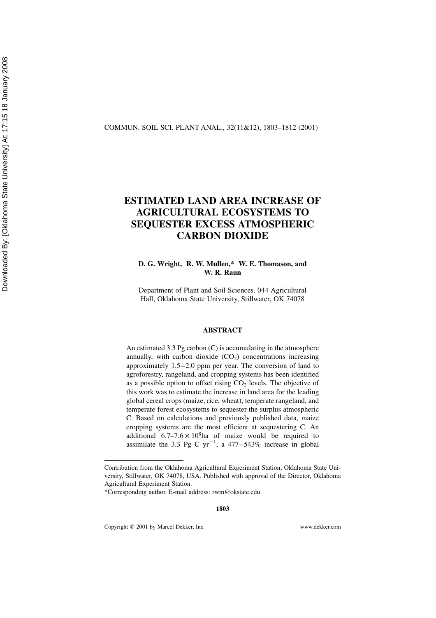#### COMMUN. SOIL SCI. PLANT ANAL., 32(11&12), 1803–1812 (2001)

### ESTIMATED LAND AREA INCREASE OF AGRICULTURAL ECOSYSTEMS TO SEQUESTER EXCESS ATMOSPHERIC CARBON DIOXIDE

### D. G. Wright, R. W. Mullen,\* W. E. Thomason, and W. R. Raun

Department of Plant and Soil Sciences, 044 Agricultural Hall, Oklahoma State University, Stillwater, OK 74078

#### ABSTRACT

An estimated 3.3 Pg carbon (C) is accumulating in the atmosphere annually, with carbon dioxide  $(CO<sub>2</sub>)$  concentrations increasing approximately 1.5–2.0 ppm per year. The conversion of land to agroforestry, rangeland, and cropping systems has been identified as a possible option to offset rising  $CO<sub>2</sub>$  levels. The objective of this work was to estimate the increase in land area for the leading global cereal crops (maize, rice, wheat), temperate rangeland, and temperate forest ecosystems to sequester the surplus atmospheric C. Based on calculations and previously published data, maize cropping systems are the most efficient at sequestering C. An additional  $6.7-7.6 \times 10^8$ ha of maize would be required to assimilate the 3.3 Pg C  $yr^{-1}$ , a 477–543% increase in global

Copyright q 2001 by Marcel Dekker, Inc. www.dekker.com

Contribution from the Oklahoma Agricultural Experiment Station, Oklahoma State University, Stillwater, OK 74078, USA. Published with approval of the Director, Oklahoma Agricultural Experiment Station.

<sup>\*</sup>Corresponding author. E-mail address: rwm@okstate.edu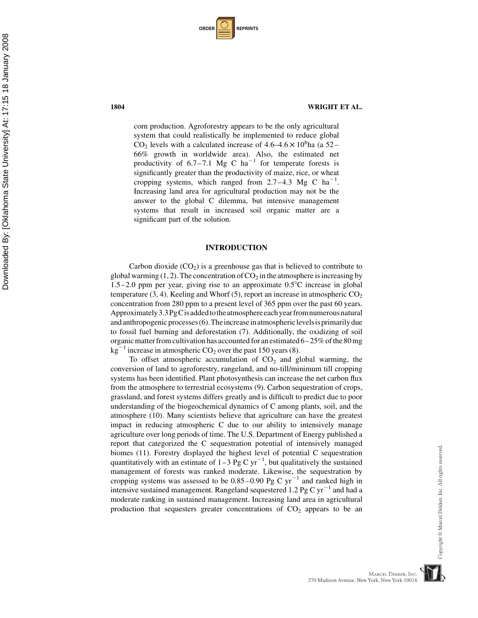| <b>ORDER</b> |  | <b>REPRINTS</b> |
|--------------|--|-----------------|
|--------------|--|-----------------|

#### 1804 WRIGHT ET AL.

corn production. Agroforestry appears to be the only agricultural system that could realistically be implemented to reduce global  $CO<sub>2</sub>$  levels with a calculated increase of 4.6–4.6  $\times$  10<sup>8</sup>ha (a 52– 66% growth in worldwide area). Also, the estimated net productivity of  $6.7-7.1$  Mg C ha<sup>-1</sup> for temperate forests is significantly greater than the productivity of maize, rice, or wheat cropping systems, which ranged from  $2.7-4.3$  Mg C ha<sup>-1</sup>. Increasing land area for agricultural production may not be the answer to the global C dilemma, but intensive management systems that result in increased soil organic matter are a significant part of the solution.

#### INTRODUCTION

Carbon dioxide  $(CO_2)$  is a greenhouse gas that is believed to contribute to global warming  $(1, 2)$ . The concentration of  $CO<sub>2</sub>$  in the atmosphere is increasing by 1.5–2.0 ppm per year, giving rise to an approximate  $0.5^{\circ}$ C increase in global temperature (3, 4). Keeling and Whorf (5), report an increase in atmospheric  $CO<sub>2</sub>$ concentration from 280 ppm to a present level of 365 ppm over the past 60 years. Approximately  $3.3\,\text{PgC}$  is added to the atmosphere each year from numerous natural and anthropogenic processes $(6)$ . The increase in atmospheric levels is primarily due to fossil fuel burning and deforestation (7). Additionally, the oxidizing of soil organic matter from cultivation has accounted for an estimated  $6-25\%$  of the 80 mg  $kg^{-1}$  increase in atmospheric CO<sub>2</sub> over the past 150 years (8).

To offset atmospheric accumulation of  $CO<sub>2</sub>$  and global warming, the conversion of land to agroforestry, rangeland, and no-till/minimum till cropping systems has been identified. Plant photosynthesis can increase the net carbon flux from the atmosphere to terrestrial ecosystems (9). Carbon sequestration of crops, grassland, and forest systems differs greatly and is difficult to predict due to poor understanding of the biogeochemical dynamics of C among plants, soil, and the atmosphere (10). Many scientists believe that agriculture can have the greatest impact in reducing atmospheric C due to our ability to intensively manage agriculture over long periods of time. The U.S. Department of Energy published a report that categorized the C sequestration potential of intensively managed biomes (11). Forestry displayed the highest level of potential C sequestration quantitatively with an estimate of  $1-3$  Pg C yr<sup>-1</sup>, but qualitatively the sustained management of forests was ranked moderate. Likewise, the sequestration by cropping systems was assessed to be  $0.85-0.90$  Pg C yr<sup>-1</sup> and ranked high in intensive sustained management. Rangeland sequestered 1.2 Pg C  $yr^{-1}$  and had a moderate ranking in sustained management. Increasing land area in agricultural production that sequesters greater concentrations of  $CO<sub>2</sub>$  appears to be an

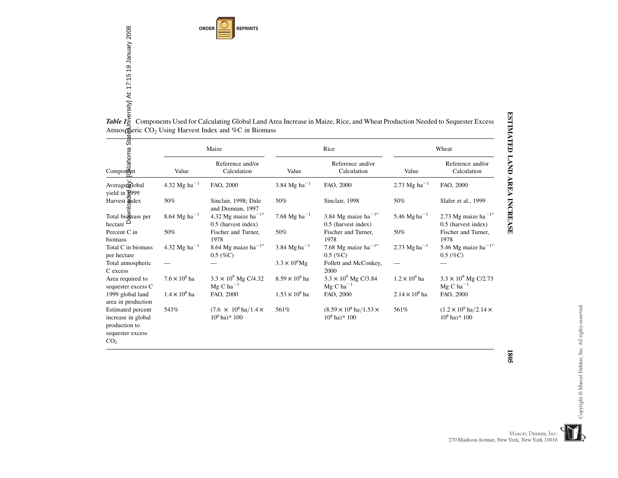**ORDER REPRINTS**

|                                                                                                                                                                                                                                                                          |                                       | Atmospheric $CO2$ Using Harvest Index and %C in Biomass       |                          | ORDER<br>SERVICE<br>TRIP SERVICE<br>TRIP SERVICE<br>TRIP SERVICE<br>TRIP SERVICE<br>TRIP SERVICE<br>TRIP SERVICE<br>TRIP SERVICE<br>Atmosfiberic CO <sub>2</sub> Using Harvest Index and %C in Biomass |                            |                                                                     |
|--------------------------------------------------------------------------------------------------------------------------------------------------------------------------------------------------------------------------------------------------------------------------|---------------------------------------|---------------------------------------------------------------|--------------------------|--------------------------------------------------------------------------------------------------------------------------------------------------------------------------------------------------------|----------------------------|---------------------------------------------------------------------|
|                                                                                                                                                                                                                                                                          |                                       | Maize                                                         |                          | Rice                                                                                                                                                                                                   |                            | Wheat                                                               |
| ta<br>sta<br>Comporent<br>Comporent<br>Comporent<br>Comporent<br>Comporent<br>Comporent<br>Comporent<br>Comporent<br>Comporent<br>Comporent<br>Comporent<br>Comporent<br>Comporent<br>Comporent<br>Comporent<br>Comporent<br>Comporent<br>Comporent<br>Comporent<br>Comp | Value                                 | Reference and/or<br>Calculation                               | Value                    | Reference and/or<br>Calculation                                                                                                                                                                        | Value                      | Reference and/or<br>Calculation                                     |
| Averagemlobal<br>yield in $\sqrt[3]{2999}$                                                                                                                                                                                                                               | 4.32 Mg ha <sup><math>-1</math></sup> | FAO, 2000                                                     | 3.84 Mg ha <sup>-1</sup> | FAO, 2000                                                                                                                                                                                              | 2.73 Mg ha <sup>-1</sup>   | FAO, 2000                                                           |
| Harvest Medex                                                                                                                                                                                                                                                            | 50%                                   | Sinclair, 1998; Dale<br>and Drennan, 1997                     | 50%                      | Sinclair, 1998                                                                                                                                                                                         | 50%                        | Slafer et al., 1999                                                 |
| Total bionnass per<br>hectare $\Box$                                                                                                                                                                                                                                     | $8.64\ \mathrm{Mg}\ \mathrm{ha}^{-1}$ | 4.32 Mg maize ha <sup>-1*</sup><br>0.5 (harvest index)        | 7.68 Mg ha <sup>-1</sup> | 3.84 Mg maize ha <sup><math>-1</math>*</sup><br>0.5 (harvest index)                                                                                                                                    | 5.46 Mg ha <sup>-1</sup>   | 2.73 Mg maize ha <sup><math>-1</math>*</sup><br>0.5 (harvest index) |
| Percent C in<br>biomass                                                                                                                                                                                                                                                  | 50%                                   | Fischer and Turner,<br>1978                                   | 50%                      | Fischer and Turner,<br>1978                                                                                                                                                                            | 50%                        | Fischer and Turner,<br>1978                                         |
| Total C in biomass<br>per hectare                                                                                                                                                                                                                                        | 4.32 Mg ha <sup>-1</sup>              | 8.64 Mg maize ha <sup><math>-1</math>*</sup><br>$0.5~(\%C)$   | 3.84 Mg ha <sup>-1</sup> | 7.68 Mg maize ha <sup><math>-1</math>*</sup><br>$0.5~(\%C)$                                                                                                                                            | 2.73 $Mg$ ha <sup>-1</sup> | 5.46 Mg maize ha <sup>-1*</sup><br>$0.5~(\%C)$                      |
| Total atmospheric<br>C excess                                                                                                                                                                                                                                            |                                       |                                                               | $3.3 \times 10^9$ Mg     | Follett and McConkey,<br>2000                                                                                                                                                                          |                            |                                                                     |
| Area required to<br>sequester excess C                                                                                                                                                                                                                                   | $7.6 \times 10^8$ ha                  | $3.3 \times 10^9$ Mg C/4.32<br>$Mg$ C ha <sup>-1</sup>        | $8.59 \times 10^8$ ha    | $3.3 \times 10^9$ Mg C/3.84<br>$Mg$ C ha <sup>-1</sup>                                                                                                                                                 | $1.2 \times 10^9$ ha       | $3.3 \times 10^9$ Mg C/2.73<br>$MgC$ ha <sup>-1</sup>               |
| 1999 global land<br>area in production                                                                                                                                                                                                                                   | $1.4 \times 10^8$ ha                  | FAO, 2000                                                     | $1.53 \times 10^8$ ha    | FAO, 2000                                                                                                                                                                                              | $2.14 \times 10^8$ ha      | FAO, 2000                                                           |
| <b>Estimated</b> percent<br>increase in global<br>production to<br>sequester excess<br>CO <sub>2</sub>                                                                                                                                                                   | 543%                                  | $(7.6 \times 10^8 \text{ ha}/1.4 \times$<br>$10^8$ ha)* $100$ | 561%                     | $(8.59 \times 10^8 \text{ ha}/1.53 \times$<br>$10^8$ ha)* $100$                                                                                                                                        | 561%                       | $(1.2 \times 10^9 \text{ ha}/2.14 \times$<br>$10^8$ ha)* $100$      |

 $\overline{\mathbf{1}}$ 

**1805** 

ESTIMATED LAND AREA INCREASE 1805

ESTIMATED LAND AREA INCREASE

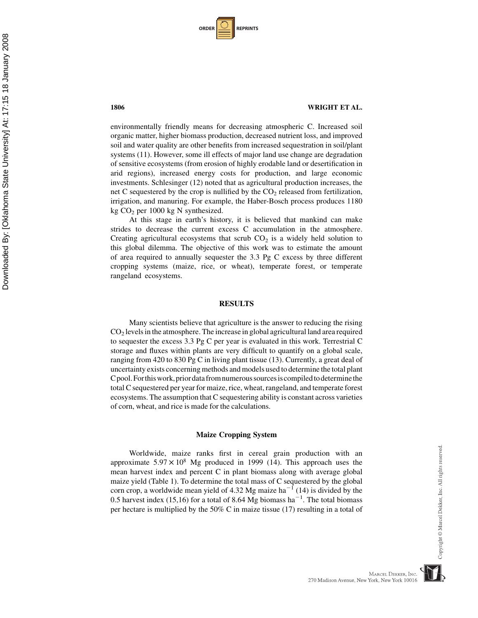| <b>ORDER</b> |  | <b>REPRINTS</b> |
|--------------|--|-----------------|
|--------------|--|-----------------|

#### 1806 WRIGHT ET AL.

environmentally friendly means for decreasing atmospheric C. Increased soil organic matter, higher biomass production, decreased nutrient loss, and improved soil and water quality are other benefits from increased sequestration in soil/plant systems (11). However, some ill effects of major land use change are degradation of sensitive ecosystems (from erosion of highly erodable land or desertification in arid regions), increased energy costs for production, and large economic investments. Schlesinger (12) noted that as agricultural production increases, the net C sequestered by the crop is nullified by the  $CO<sub>2</sub>$  released from fertilization, irrigation, and manuring. For example, the Haber-Bosch process produces 1180 kg CO2 per 1000 kg N synthesized.

At this stage in earth's history, it is believed that mankind can make strides to decrease the current excess C accumulation in the atmosphere. Creating agricultural ecosystems that scrub  $CO<sub>2</sub>$  is a widely held solution to this global dilemma. The objective of this work was to estimate the amount of area required to annually sequester the 3.3 Pg C excess by three different cropping systems (maize, rice, or wheat), temperate forest, or temperate rangeland ecosystems.

#### RESULTS

Many scientists believe that agriculture is the answer to reducing the rising  $CO<sub>2</sub>$  levels in the atmosphere. The increase in global agricultural land area required to sequester the excess 3.3 Pg C per year is evaluated in this work. Terrestrial C storage and fluxes within plants are very difficult to quantify on a global scale, ranging from 420 to 830 Pg C in living plant tissue (13). Currently, a great deal of uncertainty exists concerning methods and models used to determine the total plant Cpool.Forthiswork,priordatafromnumeroussourcesiscompiledtodeterminethe total C sequestered per year for maize, rice, wheat, rangeland, and temperate forest ecosystems. The assumption that C sequestering ability is constant across varieties of corn, wheat, and rice is made for the calculations.

#### Maize Cropping System

Worldwide, maize ranks first in cereal grain production with an approximate  $5.97 \times 10^8$  Mg produced in 1999 (14). This approach uses the mean harvest index and percent C in plant biomass along with average global maize yield (Table 1). To determine the total mass of C sequestered by the global corn crop, a worldwide mean yield of 4.32 Mg maize  $ha^{-1}$  (14) is divided by the 0.5 harvest index (15,16) for a total of 8.64 Mg biomass ha<sup>-1</sup>. The total biomass per hectare is multiplied by the 50% C in maize tissue (17) resulting in a total of Copyright © Marcel Dekker, Inc. All rights reserved

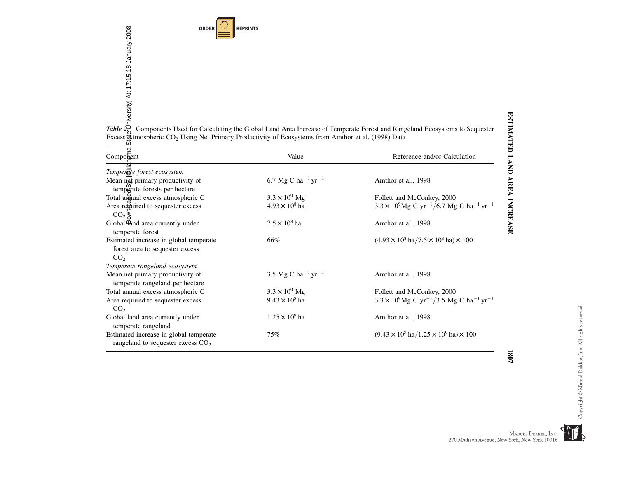**ORDER REPRINTS**

| Table 2:<br>Phiversity] At: 17:15 18 January 2008<br>Phiversity] At: 17:15 18 January 2008<br><b>ORDER</b>     | <b>REPRINTS</b>                            |                                                                                                                         |
|----------------------------------------------------------------------------------------------------------------|--------------------------------------------|-------------------------------------------------------------------------------------------------------------------------|
|                                                                                                                |                                            |                                                                                                                         |
|                                                                                                                |                                            |                                                                                                                         |
|                                                                                                                |                                            |                                                                                                                         |
|                                                                                                                |                                            |                                                                                                                         |
|                                                                                                                |                                            |                                                                                                                         |
|                                                                                                                |                                            |                                                                                                                         |
|                                                                                                                |                                            |                                                                                                                         |
|                                                                                                                |                                            |                                                                                                                         |
|                                                                                                                |                                            |                                                                                                                         |
| Excess dtmospheric CO <sub>2</sub> Using Net Primary Productivity of Ecosystems from Amthor et al. (1998) Data |                                            | Components Used for Calculating the Global Land Area Increase of Temperate Forest and Rangeland Ecosystems to Sequester |
|                                                                                                                |                                            |                                                                                                                         |
| $\overline{a}$<br>Component                                                                                    | Value                                      | Reference and/or Calculation                                                                                            |
| Temperate forest ecosystem                                                                                     |                                            |                                                                                                                         |
| Mean net primary productivity of                                                                               | 6.7 Mg C ha <sup>-1</sup> yr <sup>-1</sup> | Amthor et al., 1998                                                                                                     |
| temperate forests per hectare                                                                                  |                                            |                                                                                                                         |
| Total aroual excess atmospheric C                                                                              | $3.3 \times 10^{9}$ Mg                     | Follett and McConkey, 2000                                                                                              |
| Area reguired to sequester excess                                                                              | $4.93 \times 10^8$ ha                      | $3.3 \times 10^9$ Mg C yr <sup>-1</sup> /6.7 Mg C ha <sup>-1</sup> yr <sup>-1</sup>                                     |
| CO <sub>2</sub>                                                                                                | $7.5 \times 10^8$ ha                       |                                                                                                                         |
| Global Tand area currently under<br>temperate forest                                                           |                                            | Amthor et al., 1998                                                                                                     |
| Estimated increase in global temperate                                                                         | 66%                                        | $(4.93 \times 10^8 \text{ ha}/7.5 \times 10^8 \text{ ha}) \times 100$                                                   |
| forest area to sequester excess                                                                                |                                            |                                                                                                                         |
| CO <sub>2</sub>                                                                                                |                                            |                                                                                                                         |
| Temperate rangeland ecosystem                                                                                  |                                            |                                                                                                                         |
| Mean net primary productivity of                                                                               | 3.5 Mg C ha <sup>-1</sup> yr <sup>-1</sup> | Amthor et al., 1998                                                                                                     |
| temperate rangeland per hectare                                                                                |                                            |                                                                                                                         |
| Total annual excess atmospheric C                                                                              | $3.3 \times 10^{9}$ Mg                     | Follett and McConkey, 2000                                                                                              |
| Area required to sequester excess<br>CO <sub>2</sub>                                                           | $9.43 \times 10^8$ ha                      | $3.3 \times 10^9$ Mg C yr <sup>-1</sup> /3.5 Mg C ha <sup>-1</sup> yr <sup>-1</sup>                                     |
| Global land area currently under                                                                               | $1.25 \times 10^9$ ha                      | Amthor et al., 1998                                                                                                     |
|                                                                                                                |                                            |                                                                                                                         |
|                                                                                                                |                                            |                                                                                                                         |
| temperate rangeland<br>Estimated increase in global temperate                                                  | 75%                                        | $(9.43 \times 10^8 \text{ ha}/1.25 \times 10^9 \text{ ha}) \times 100$                                                  |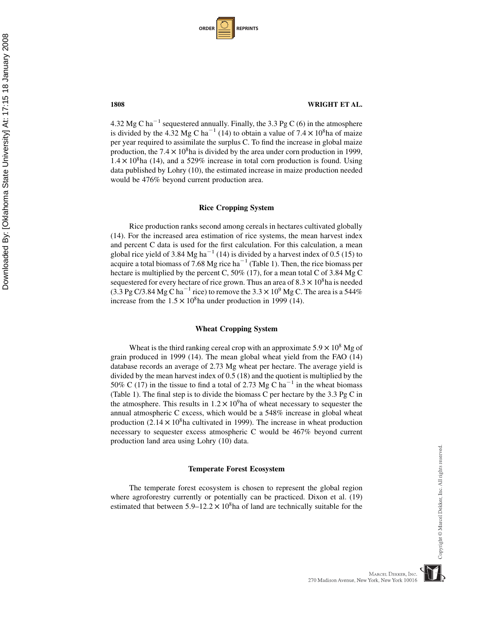| <b>ORDER</b> |  | <b>REPRINTS</b> |
|--------------|--|-----------------|
|--------------|--|-----------------|

4.32 Mg C ha<sup>-1</sup> sequestered annually. Finally, the 3.3 Pg C (6) in the atmosphere is divided by the 4.32 Mg C ha<sup>-1</sup> (14) to obtain a value of  $7.4 \times 10^8$ ha of maize per year required to assimilate the surplus C. To find the increase in global maize production, the  $7.4 \times 10^8$ ha is divided by the area under corn production in 1999,  $1.4 \times 10^8$ ha (14), and a 529% increase in total corn production is found. Using data published by Lohry (10), the estimated increase in maize production needed would be 476% beyond current production area.

#### Rice Cropping System

Rice production ranks second among cereals in hectares cultivated globally (14). For the increased area estimation of rice systems, the mean harvest index and percent C data is used for the first calculation. For this calculation, a mean global rice yield of 3.84 Mg ha<sup> $-1$ </sup> (14) is divided by a harvest index of 0.5 (15) to acquire a total biomass of 7.68 Mg rice ha<sup> $-1$ </sup> (Table 1). Then, the rice biomass per hectare is multiplied by the percent C, 50% (17), for a mean total C of 3.84 Mg C sequestered for every hectare of rice grown. Thus an area of  $8.3 \times 10^8$ ha is needed (3.3 Pg C/3.84 Mg C ha<sup>-1</sup> rice) to remove the  $3.3 \times 10^9$  Mg C. The area is a 544% increase from the  $1.5 \times 10^8$ ha under production in 1999 (14).

#### Wheat Cropping System

Wheat is the third ranking cereal crop with an approximate  $5.9 \times 10^8$  Mg of grain produced in 1999 (14). The mean global wheat yield from the FAO (14) database records an average of 2.73 Mg wheat per hectare. The average yield is divided by the mean harvest index of 0.5 (18) and the quotient is multiplied by the 50% C (17) in the tissue to find a total of 2.73 Mg C ha<sup>-1</sup> in the wheat biomass (Table 1). The final step is to divide the biomass C per hectare by the 3.3 Pg C in the atmosphere. This results in  $1.2 \times 10^9$  ha of wheat necessary to sequester the annual atmospheric C excess, which would be a 548% increase in global wheat production  $(2.14 \times 10^8)$ ha cultivated in 1999). The increase in wheat production necessary to sequester excess atmospheric C would be 467% beyond current production land area using Lohry (10) data.

#### Temperate Forest Ecosystem

The temperate forest ecosystem is chosen to represent the global region where agroforestry currently or potentially can be practiced. Dixon et al. (19) estimated that between  $5.9-12.2 \times 10^8$  has of land are technically suitable for the

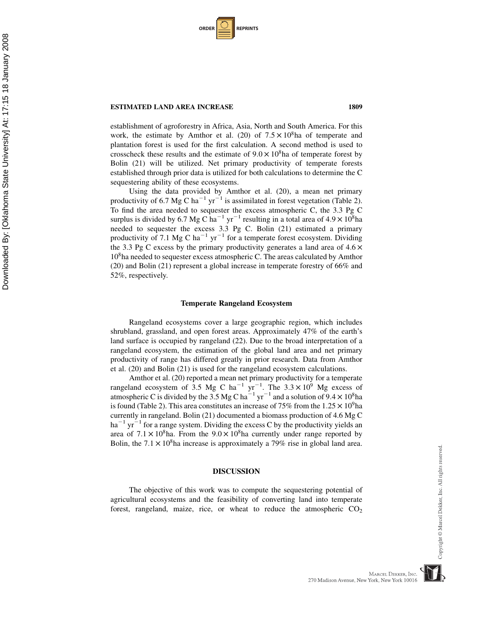| <b>ORDER</b> |  | <b>REPRINTS</b> |
|--------------|--|-----------------|
|--------------|--|-----------------|

#### **ESTIMATED LAND AREA INCREASE 1809** 1809

establishment of agroforestry in Africa, Asia, North and South America. For this work, the estimate by Amthor et al. (20) of  $7.5 \times 10^8$ ha of temperate and plantation forest is used for the first calculation. A second method is used to crosscheck these results and the estimate of  $9.0 \times 10^8$ ha of temperate forest by Bolin (21) will be utilized. Net primary productivity of temperate forests established through prior data is utilized for both calculations to determine the C sequestering ability of these ecosystems.

Using the data provided by Amthor et al. (20), a mean net primary productivity of 6.7 Mg C ha<sup>-1</sup> yr<sup>-1</sup> is assimilated in forest vegetation (Table 2). To find the area needed to sequester the excess atmospheric C, the 3.3 Pg C surplus is divided by 6.7 Mg C ha<sup>-1</sup> yr<sup>-1</sup> resulting in a total area of  $4.9 \times 10^8$ ha needed to sequester the excess 3.3 Pg C. Bolin (21) estimated a primary productivity of 7.1 Mg C ha<sup>-1</sup> yr<sup>-1</sup> for a temperate forest ecosystem. Dividing the 3.3 Pg C excess by the primary productivity generates a land area of  $4.6 \times$ 108ha needed to sequester excess atmospheric C. The areas calculated by Amthor (20) and Bolin (21) represent a global increase in temperate forestry of 66% and 52%, respectively.

#### Temperate Rangeland Ecosystem

Rangeland ecosystems cover a large geographic region, which includes shrubland, grassland, and open forest areas. Approximately 47% of the earth's land surface is occupied by rangeland (22). Due to the broad interpretation of a rangeland ecosystem, the estimation of the global land area and net primary productivity of range has differed greatly in prior research. Data from Amthor et al. (20) and Bolin (21) is used for the rangeland ecosystem calculations.

Amthor et al. (20) reported a mean net primary productivity for a temperate rangeland ecosystem of 3.5 Mg C ha<sup>-1</sup> yr<sup>-1</sup>. The 3.3  $\times$  10<sup>9</sup> Mg excess of atmospheric C is divided by the 3.5 Mg C ha<sup>-1</sup> yr<sup>-1</sup> and a solution of  $9.4 \times 10^8$ ha is found (Table 2). This area constitutes an increase of 75% from the  $1.25 \times 10^9$ ha currently in rangeland. Bolin (21) documented a biomass production of 4.6 Mg C  $ha^{-1} yr^{-1}$  for a range system. Dividing the excess C by the productivity yields an area of  $7.1 \times 10^8$ ha. From the  $9.0 \times 10^8$ ha currently under range reported by Bolin, the  $7.1 \times 10^8$ ha increase is approximately a 79% rise in global land area.

#### DISCUSSION

The objective of this work was to compute the sequestering potential of agricultural ecosystems and the feasibility of converting land into temperate forest, rangeland, maize, rice, or wheat to reduce the atmospheric  $CO<sub>2</sub>$ 

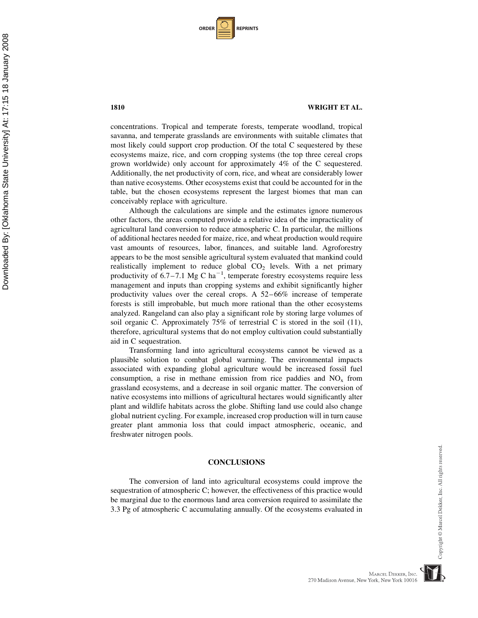| <b>ORDER</b> |  | <b>REPRINTS</b> |
|--------------|--|-----------------|
|--------------|--|-----------------|

#### 1810 WRIGHT ET AL.

concentrations. Tropical and temperate forests, temperate woodland, tropical savanna, and temperate grasslands are environments with suitable climates that most likely could support crop production. Of the total C sequestered by these ecosystems maize, rice, and corn cropping systems (the top three cereal crops grown worldwide) only account for approximately 4% of the C sequestered. Additionally, the net productivity of corn, rice, and wheat are considerably lower than native ecosystems. Other ecosystems exist that could be accounted for in the table, but the chosen ecosystems represent the largest biomes that man can conceivably replace with agriculture.

Although the calculations are simple and the estimates ignore numerous other factors, the areas computed provide a relative idea of the impracticality of agricultural land conversion to reduce atmospheric C. In particular, the millions of additional hectares needed for maize, rice, and wheat production would require vast amounts of resources, labor, finances, and suitable land. Agroforestry appears to be the most sensible agricultural system evaluated that mankind could realistically implement to reduce global  $CO<sub>2</sub>$  levels. With a net primary productivity of  $6.7 - 7.1$  Mg C ha<sup>-1</sup>, temperate forestry ecosystems require less management and inputs than cropping systems and exhibit significantly higher productivity values over the cereal crops. A 52–66% increase of temperate forests is still improbable, but much more rational than the other ecosystems analyzed. Rangeland can also play a significant role by storing large volumes of soil organic C. Approximately 75% of terrestrial C is stored in the soil (11), therefore, agricultural systems that do not employ cultivation could substantially aid in C sequestration.

Transforming land into agricultural ecosystems cannot be viewed as a plausible solution to combat global warming. The environmental impacts associated with expanding global agriculture would be increased fossil fuel consumption, a rise in methane emission from rice paddies and  $NO<sub>x</sub>$  from grassland ecosystems, and a decrease in soil organic matter. The conversion of native ecosystems into millions of agricultural hectares would significantly alter plant and wildlife habitats across the globe. Shifting land use could also change global nutrient cycling. For example, increased crop production will in turn cause greater plant ammonia loss that could impact atmospheric, oceanic, and freshwater nitrogen pools.

#### **CONCLUSIONS**

The conversion of land into agricultural ecosystems could improve the sequestration of atmospheric C; however, the effectiveness of this practice would be marginal due to the enormous land area conversion required to assimilate the 3.3 Pg of atmospheric C accumulating annually. Of the ecosystems evaluated in

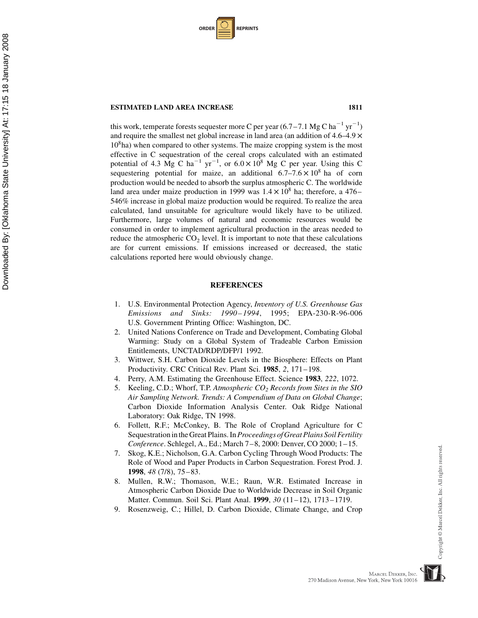| <b>ORDER</b> |  | <b>REPRINTS</b> |
|--------------|--|-----------------|
|--------------|--|-----------------|

#### **ESTIMATED LAND AREA INCREASE 1811**

Downloaded By: [Oklahoma State University] At: 17:15 18 January 2008

Downloaded By: [Oklahoma State University] At: 17:15 18 January 2008

this work, temperate forests sequester more C per year  $(6.7-7.1 \text{ Mg C ha}^{-1} \text{ yr}^{-1})$ and require the smallest net global increase in land area (an addition of  $4.6-4.9 \times$  $10<sup>8</sup>$ ha) when compared to other systems. The maize cropping system is the most effective in C sequestration of the cereal crops calculated with an estimated potential of 4.3 Mg C ha<sup>-1</sup> yr<sup>-1</sup>, or  $6.0 \times 10^8$  Mg C per year. Using this C sequestering potential for maize, an additional  $6.7-7.6 \times 10^8$  ha of corn production would be needed to absorb the surplus atmospheric C. The worldwide land area under maize production in 1999 was  $1.4 \times 10^8$  ha; therefore, a 476– 546% increase in global maize production would be required. To realize the area calculated, land unsuitable for agriculture would likely have to be utilized. Furthermore, large volumes of natural and economic resources would be consumed in order to implement agricultural production in the areas needed to reduce the atmospheric  $CO<sub>2</sub>$  level. It is important to note that these calculations are for current emissions. If emissions increased or decreased, the static calculations reported here would obviously change.

#### **REFERENCES**

- 1. U.S. Environmental Protection Agency, Inventory of U.S. Greenhouse Gas Emissions and Sinks: 1990–1994, 1995; EPA-230-R-96-006 U.S. Government Printing Office: Washington, DC.
- 2. United Nations Conference on Trade and Development, Combating Global Warming: Study on a Global System of Tradeable Carbon Emission Entitlements, UNCTAD/RDP/DFP/1 1992.
- 3. Wittwer, S.H. Carbon Dioxide Levels in the Biosphere: Effects on Plant Productivity. CRC Critical Rev. Plant Sci. 1985, 2, 171–198.
- Perry, A.M. Estimating the Greenhouse Effect. Science 1983, 222, 1072.
- 5. Keeling, C.D.; Whorf, T.P. Atmospheric  $CO<sub>2</sub>$  Records from Sites in the SIO Air Sampling Network. Trends: A Compendium of Data on Global Change; Carbon Dioxide Information Analysis Center. Oak Ridge National Laboratory: Oak Ridge, TN 1998.
- 6. Follett, R.F.; McConkey, B. The Role of Cropland Agriculture for C Sequestration in the Great Plains. In Proceedings of Great Plains Soil Fertility Conference. Schlegel, A., Ed.; March 7–8, 2000: Denver, CO 2000; 1–15.
- 7. Skog, K.E.; Nicholson, G.A. Carbon Cycling Through Wood Products: The Role of Wood and Paper Products in Carbon Sequestration. Forest Prod. J. 1998, 48 (7/8), 75–83.
- 8. Mullen, R.W.; Thomason, W.E.; Raun, W.R. Estimated Increase in Atmospheric Carbon Dioxide Due to Worldwide Decrease in Soil Organic Matter. Commun. Soil Sci. Plant Anal. 1999, 30 (11–12), 1713–1719.
- 9. Rosenzweig, C.; Hillel, D. Carbon Dioxide, Climate Change, and Crop

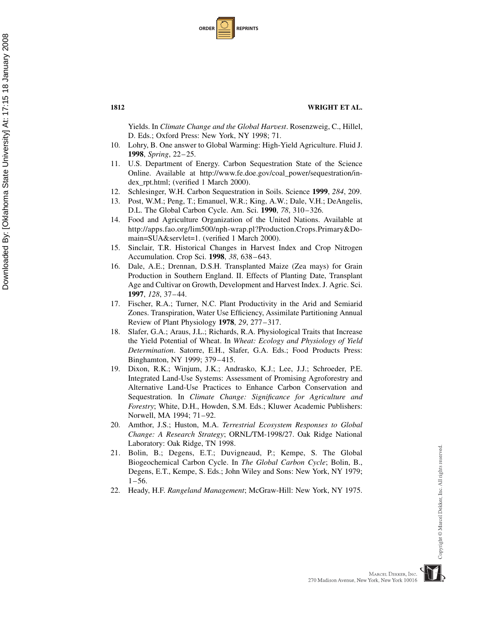| <b>ORDER</b> |  | <b>REPRINTS</b> |
|--------------|--|-----------------|
|--------------|--|-----------------|

Yields. In Climate Change and the Global Harvest. Rosenzweig, C., Hillel, D. Eds.; Oxford Press: New York, NY 1998; 71.

- 10. Lohry, B. One answer to Global Warming: High-Yield Agriculture. Fluid J. 1998, Spring, 22–25.
- 11. U.S. Department of Energy. Carbon Sequestration State of the Science Online. Available at http://www.fe.doe.gov/coal\_power/sequestration/index\_rpt.html; (verified 1 March 2000).
- 12. Schlesinger, W.H. Carbon Sequestration in Soils. Science 1999, 284, 209.
- 13. Post, W.M.; Peng, T.; Emanuel, W.R.; King, A.W.; Dale, V.H.; DeAngelis, D.L. The Global Carbon Cycle. Am. Sci. 1990, 78, 310–326.
- 14. Food and Agriculture Organization of the United Nations. Available at http://apps.fao.org/lim500/nph-wrap.pl?Production.Crops.Primary&Domain=SUA&servlet=1. (verified 1 March 2000).
- 15. Sinclair, T.R. Historical Changes in Harvest Index and Crop Nitrogen Accumulation. Crop Sci. 1998, 38, 638–643.
- 16. Dale, A.E.; Drennan, D.S.H. Transplanted Maize (Zea mays) for Grain Production in Southern England. II. Effects of Planting Date, Transplant Age and Cultivar on Growth, Development and Harvest Index. J. Agric. Sci. 1997, 128, 37–44.
- 17. Fischer, R.A.; Turner, N.C. Plant Productivity in the Arid and Semiarid Zones. Transpiration, Water Use Efficiency, Assimilate Partitioning Annual Review of Plant Physiology 1978, 29, 277–317.
- 18. Slafer, G.A.; Araus, J.L.; Richards, R.A. Physiological Traits that Increase the Yield Potential of Wheat. In Wheat: Ecology and Physiology of Yield Determination. Satorre, E.H., Slafer, G.A. Eds.; Food Products Press: Binghamton, NY 1999; 379–415.
- 19. Dixon, R.K.; Winjum, J.K.; Andrasko, K.J.; Lee, J.J.; Schroeder, P.E. Integrated Land-Use Systems: Assessment of Promising Agroforestry and Alternative Land-Use Practices to Enhance Carbon Conservation and Sequestration. In Climate Change: Significance for Agriculture and Forestry; White, D.H., Howden, S.M. Eds.; Kluwer Academic Publishers: Norwell, MA 1994; 71–92.
- 20. Amthor, J.S.; Huston, M.A. Terrestrial Ecosystem Responses to Global Change: A Research Strategy; ORNL/TM-1998/27. Oak Ridge National Laboratory: Oak Ridge, TN 1998.
- 21. Bolin, B.; Degens, E.T.; Duvigneaud, P.; Kempe, S. The Global Biogeochemical Carbon Cycle. In The Global Carbon Cycle; Bolin, B., Degens, E.T., Kempe, S. Eds.; John Wiley and Sons: New York, NY 1979;  $1-56$ .
- 22. Heady, H.F. Rangeland Management; McGraw-Hill: New York, NY 1975.